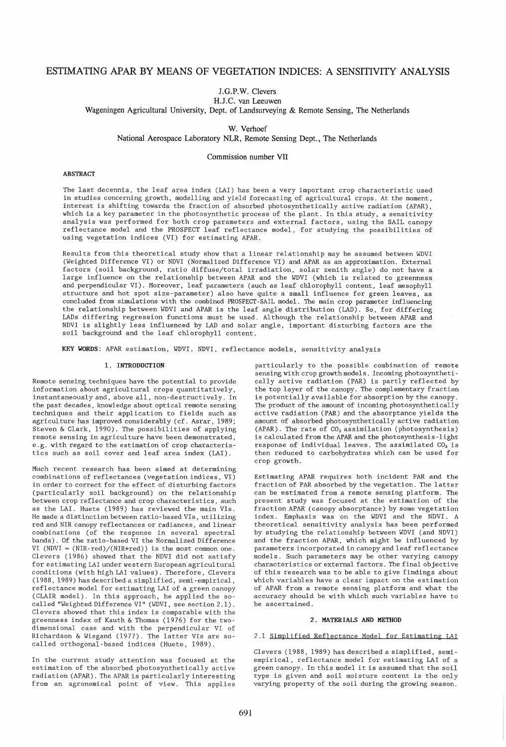# **ESTIMATING APAR BY MEANS OF VEGETATION INDICES: A SENSITIVITY ANALYSIS**

**J.G.P.W. Clevers** 

**H.J.C. van Leeuwen** 

**Wageningen Agricultural University, Dept. of Landsurveying & Remote Sensing, The Netherlands** 

**W. Verhoef** 

**National Aerospace Laboratory NLR, Remote Sensing Dept., The Netherlands** 

**Commission number VII** 

# **ABSTRACT**

The last decennia, the leaf area index (LAI) has been a very important crop characteristic used in studies concerning growth, modelling and yield forecasting of agricultural crops. At the moment, interest is shifting towards the fraction of absorbed photosynthetically active radiation (APAR) , which is a key parameter in the photosynthetic process of the plant. In this study, a sensitivity analysis was performed for both crop parameters and external factors, using the SAIL canopy reflectance model and the PROSPECT leaf reflectance model, for studying the possibilities of using vegetation indices (VI) for estimating APAR.

Results from this theoretical study show that a linear relationship may be assumed between WDVI (Weighted Difference VI) or NDVI (Normalized Difference VI) and APAR as an approximation. External factors (soil background, ratio diffuse/total irradiation, solar zenith angle) do not have a large influence on the relationship between APAR and the WDVI (which is related to greenness and perpendicular VI). Moreover, leaf parameters (such as leaf chlorophyll content, leaf mesophyll structure and hot spot size-parameter) also have quite a small influence for green leaves, as concluded from simulations with the combined PROSPECT-SAIL model. The main crop parameter influencing the relationship between WDVI and APAR is the leaf angle distribution (LAD). So, for differing LADs differing regression functions must be used. Although the relationship between APAR and NDVI is slightly less influenced by LAD and solar angle, important disturbing factors are the soil background and the leaf chlorophyll content.

**KEY WORDS:** APAR estimation, WDVI, NDVI, reflectance models, sensitivity analysis

#### **1. INTRODUCTION**

Remote sensing techniques have the potential to provide information about agricultural crops quantitatively, instantaneously and, above all, non-destructively. In the past decades, knowledge about optical remote sensing techniques and their application to fields such as agriculture has improved considerably (cf. Asrar, 1989; Steven & Clark, 1990). The possibilities of applying remote sensing in agricul ture have been demonstrated, e.g. with regard to the estimation of crop characteristics such as soil cover and leaf area index (LAI).

Much recent research has been aimed at determining combinations of reflectances (vegetation indices, VI) in order to correct for the effect of disturbing factors (particularly soil background) on the relationship between crop reflectance and crop characteristics, such as the LAI. Huete (1989) has reviewed the main VIs. He made a distinction between ratio-based VIs, utilizing red and NIR canopy reflectances or radiances, and linear combinations (of the response in several spectral bands). Of the ratio-based VI the Normalized Difference VI (NDVI =  $(NIR-red)/(NIR+red)$ ) is the most common one. Clevers (1986) showed that the NDVI did not satisfy for estimating LAI under western European agricul tural conditions (with high LAI values). Therefore, Clevers (1988, 1989) has described a simplified, semi-empirical, reflectance model for estimating LAI of a green canopy (CLAIR model). In this approach, he applied the socalled "Weighted Difference VI" (WDVI, see section 2.1). Clevers showed that this index is comparable with the greenness index of Kauth & Thomas (1976) for the twodimensional case and with the perpendicular VI of Richardson & Wiegand (1977). The latter VIs are socalled orthogonal-based indices (Huete, 1989).

In the current study attention was focused at the estimation of the absorbed photosynthetically active radiation (APAR). The APAR is particularly interesting from an agronomical point of view. This applies

particularly to the possible combination of remote sensing with crop growth models. Incoming photosynthetically active radiation (PAR) is partly reflected by the top layer of the canopy. The complementary fraction is potentially available for absorption by the canopy. The product of the amount of incoming photosynthetically active radiation (PAR) and the absorptance yields the amount of absorbed photosynthetically active radiation (APAR). The rate of *CO*, assimilation (photosynthesis) is calculated from the APAR and the photosynthesis-light response of individual leaves. The assimilated  $CO<sub>2</sub>$  is then reduced to carbohydrates which can be used for crop growth.

Estimating APAR requires both incident PAR and the fraction of PAR absorbed by the vegetation. The latter can be estimated from a remote sensing platform. The present study was focused at the estimation of the fraction APAR (canopy absorptance) by some vegetation index. Emphasis was on the WDVI and the NDVI. A theoretical sensitivity analysis has been performed by studying the relationship between WDVI (and NDVI) and the fraction APAR, which might be influenced by parameters incorporated in canopy and leaf reflectance models. Such parameters may be other varying canopy characteristics or external factors. The final objective of this research was to be able to give findings about which variables have a clear impact on the estimation of APAR from a remote sensing platform and what the accuracy should be with which such variables have to be ascertained.

## 2. **MATERIALS AND METHOD**

## 2.1 Simplified Reflectance Model for Estimating LAI

Clevers (1988, 1989) has described a simplified, semiempirical, reflectance model for estimating LAI of a green canopy. In this model it is assumed that the soil type is given and soil moisture content is the only varying property of the soil during the growing season.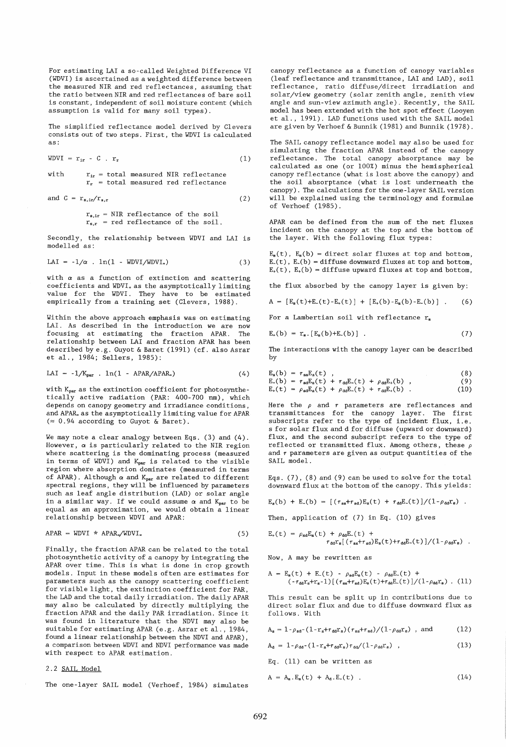For estimating LAI a so-called Weighted Difference VI (WDVI) is ascertained as a weighted difference between the measured NIR and red reflectances, assuming that the ratio between NIR and red reflectances of bare soil is constant, independent of soil moisture content (which assumption is valid for many soil types).

The simplified reflectance model derived by Clevers consists out of two steps. First, the WDVI is calculated as:

$$
WDVI = r_{ir} - C . r_r \tag{1}
$$

with  $r_{ir}$  = total measured NIR reflectance  $r_r$  = total measured red reflectance

and 
$$
C = r_{s,ir}/r_{s,r}
$$
 (2)

 $r_{s,ir}$  = NIR reflectance of the soil  $r_{s,r}$  = red reflectance of the soil.

Secondly, the relationship between WDVI and LAI is modelled as:

$$
LAI = -1/\alpha . ln(1 - WDVI/WDVI_*)
$$
 (3)

with  $\alpha$  as a function of extinction and scattering coefficients and WDVI~ as the asymptotically limiting value for the WDVI. They have to be estimated empirically from a training set (Clevers, 1988).

Within the above approach emphasis was on estimating LAI. As described in the introduction we are now<br>focusing at estimating the fraction APAR. The focusing at estimating the fraction APAR. relationship between LAI and fraction APAR has been described by e.g. Guyot & Baret (1991) (cf. also Asrar et al., 1984; Sellers, 1985):

$$
LAI = -1/K_{par} . In(1 - APAR/APAR_*)
$$
 (4)

with Kpar as the extinction coefficient for photosynthetically active radiation (PAR: 400-700 nm), which depends on canopy geometry and irradiance conditions, and APAR. as the asymptotically limiting value for APAR  $(\approx 0.94$  according to Guyot & Baret).

We may note a clear analogy between Eqs. (3) and (4). However,  $\alpha$  is particularly related to the NIR region where scattering is the dominating process (measured in terms of WDVI) and  $K_{par}$  is related to the visible region where absorption dominates (measured in terms of APAR). Although  $\alpha$  and K<sub>par</sub> are related to different spectral regions, they will be influenced by parameters such as leaf angle distribution (LAD) or solar angle in a similar way. If we could assume  $\alpha$  and  $K_{par}$  to be equal as an approximation, we would obtain a linear relationship between WDVI and APAR:

$$
APAR = WDVI * APAR_{\infty}/WDVI_{\infty}
$$
 (5)

Finally, the fraction APAR can be related to the total photosynthetic activity of a canopy by integrating the APAR over time. This is what is done in crop growth models. Input in these models often are estimates for parameters such as the canopy scattering coefficient for visible light, the extinction coefficient for PAR, the LAD and the total daily irradiation. The daily APAR may also be calculated by directly multiplying the fraction APAR and the daily PAR irradiation. Since it was found in literature that the NDVI may also be suitable for estimating APAR (e.g. Asrar et al., 1984, found a linear relationship between the NDVI and APAR) , a comparison between WDVI and NDVI performance was made with respect to APAR estimation.

## 2.2 SAIL Model

The one-layer SAIL model (Verhoef, 1984) simulates

canopy reflectance as a function of canopy variables (leaf reflectance and transmittance, LAI and LAD), soil reflectance, ratio diffuse/direct irradiation and solar/view geometry (solar zenith angle, zenith view angle and sun-view azimuth angle). Recently, the SAIL model has been extended wi th the hot spot effect (Looyen et al., 1991). LAD functions used with the SAIL model are given by Verhoef & Bunnik (1981) and Bunnik (1978).

The SAIL canopy reflectance model may also be used for simulating the fraction APAR instead of the canopy reflectance. The total canopy absorptance may be calculated as one (or 100%) minus the hemispherical canopy reflectance (what is lost above the canopy) and the soil absorptance (what is lost underneath the canopy). The calculations for the one-layer SAIL version will be explained using the terminology and formulae of Verhoef (1985).

APAR can be defined from the sum of the net fluxes incident on the canopy at the top and the bottom of the layer. With the following flux types:

 $E_s(t)$ ,  $E_s(b)$  = direct solar fluxes at top and bottom,  $E_{-}(t)$ ,  $E_{-}(b) =$  diffuse downward fluxes at top and bottom,  $E_{+}(t)$ ,  $E_{+}(b)$  = diffuse upward fluxes at top and bottom,

the flux absorbed by the canopy layer is given by:

$$
A = [E_{s}(t) + E_{-}(t) - E_{+}(t)] + [E_{+}(b) - E_{s}(b) - E_{-}(b)] \quad . \tag{6}
$$

For a Lambertian soil with reflectance  $r_s$ 

$$
E_{+}(b) = r_{s} \cdot [E_{s}(b) + E_{-}(b)] \quad . \tag{7}
$$

The interactions with the canopy layer can be described by

$$
E_s(b) = \tau_{ss}E_s(t) ,
$$
\n(8)  
\n
$$
E_s(b) = \tau_{sd}E_s(t) + \tau_{dd}E_s(t) + \rho_{dd}E_s(b) ,
$$
\n(9)  
\n
$$
E_s(t) = \rho_{sd}E_s(t) + \rho_{dd}E_s(t) + \tau_{dd}E_s(b) .
$$
\n(10)

Here the  $\rho$  and  $\tau$  parameters are reflectances and transmittances for the canopy layer. The first subscripts refer to the type of incident flux, i.e. s for solar flux and d for diffuse (upward or downward) flux, and the second subscript refers to the type of reflected or transmitted flux. Among others, these  $\rho$ and  $\tau$  parameters are given as output quantities of the SAIL model.

Eqs. (7), (8) and (9) can be used to solve for the total downward flux at the bottom of the canopy. This yields:

 $E_s(b) + E_c(b) = [(r_{ss} + r_{sd})E_s(t) + r_{dd}E_c(t)]/(1-\rho_{dd}r_s)$ .

Then, application of (7) in Eq. (10) gives

$$
E_{+}(t) = \rho_{sd}E_{s}(t) + \rho_{dd}E_{-}(t) + \tau_{dd}E_{-}(t)\gamma_{cd}E_{s}(t) + \tau_{dd}E_{-}(t)/(1-\rho_{dd}E_{s})
$$

Now, A may be rewritten as

$$
A = E_{\rm s}(t) + E_{-}(t) - \rho_{\rm sd}E_{\rm s}(t) - \rho_{\rm dd}E_{-}(t) +
$$
  

$$
(-\tau_{\rm dd}F_{\rm s}+r_{\rm s}-1)[(\tau_{\rm ss}+\tau_{\rm sd})E_{\rm s}(t)+\tau_{\rm dd}E_{-}(t)]/(1-\rho_{\rm dd}r_{\rm s}).
$$
 (11)

This result can be split up in contributions due to direct solar flux and due to diffuse downward flux as follows. With

$$
A_{s} = 1 - \rho_{sd} \cdot (1 - r_{s} + r_{dd}r_{s}) \left(\frac{r_{ss} + r_{sd}}{1 - \rho_{dd}r_{s}}\right), \text{ and } (12)
$$

$$
A_{d} = 1 - \rho_{dd} - (1 - r_{s} + r_{dd}r_{s})r_{dd}/(1 - \rho_{dd}r_{s}) \quad , \tag{13}
$$

Eq. (11) can be written as

$$
A = A_{s} \cdot E_{s}(t) + A_{d} \cdot E_{-}(t) \quad . \tag{14}
$$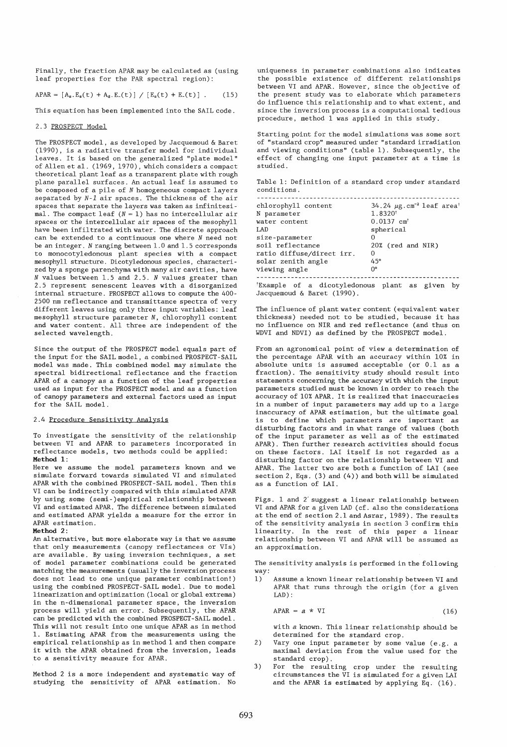Finally, the fraction APAR may be calculated as (using leaf properties for the PAR spectral region):

APAR =  $[A_s.E_s(t) + A_d.E_c(t)] / [E_s(t) + E_c(t)]$ .  $(15)$ 

This equation has been implemented into the SAIL code.

#### 2.3 PROSPECT Model

The PROSPECT model, as developed by Jacquemoud & Baret (1990), is a radiative transfer model for individual leaves. It is based on the generalized "plate model" of Allen et al. (1969, 1970), which considers a compact theoretical plant leaf as a transparent plate wi th rough plane parallel surfaces. An actual leaf is assumed to be composed of a pile of *N* homogeneous compact layers separated by *N-l* air spaces. The thickness of the air spaces that separate the layers was taken as infinitesimal. The compact leaf  $(N = 1)$  has no intercellular air spaces or the intercellular air spaces of the mesophyll have been infiltrated with water. The discrete approach can be extended to a continuous one where *N* need not be an integer. *N* ranging between 1.0 and 1. 5 corresponds to monocotyledonous plant species with a compact mesophyll structure. Dicotyledonous species, characterized by a sponge parenchyma with many air cavities, have *N* values between 1.5 and 2.5. *N* values greater than 2.5 represent senescent leaves with a disorganized internal structure. PROSPECT allows to compute the 400- 2500 nm reflectance and transmittance spectra of very different leaves using only three input variables: leaf mesophyll structure parameter N, chlorophyll content and water content. All three are independent of the selected wavelength.

Since the output of the PROSPECT model equals part of the input for the SAIL model, a combined PROSPECT-SAIL model was made. This combined model may simulate the spectral bidirectional reflectance and the fraction APAR of a canopy as a function of the leaf properties used as input for the PROSPECT model and as a function of canopy parameters and external factors used as input for the SAIL model.

#### 2.4 Procedure Sensitivity Analysis

To investigate the sensitivity of the relationship between VI and APAR to parameters incorporated in reflectance models, two methods could be applied: Method 1:

Here we assume the model parameters known and we simulate forward towards simulated VI and simulated APAR with the combined PROSPECT-SAIL model. Then this VI can be indirectly compared with this simulated APAR by using some (semi-)empirical relationship between VI and estimated APAR. The difference between simulated and estimated APAR yields a measure for the error in APAR estimation.

#### Method 2:

An alternative, but more elaborate way is that we assume that only measurements (canopy reflectances or VIs) are available. By using inversion techniques, a set of model parameter combinations could be generated matching the measurements (usually the inversion process does not lead to one unique parameter combination!) using the combined PROSPECT-SAIL model. Due to model linearization and optimization (local or global extrema) in the n-dimensional parameter space, the inversion process will yield an error. Subsequently, the APAR can be predicted with the combined PROSPECT-SAIL model. This will not result into one unique APAR as in method 1. Estimating APAR from the measurements using the empirical relationship as in method 1 and then compare it with the APAR obtained from the inversion, leads to a sensitivity measure for APAR.

Method 2 is a more independent and systematic way of studying the sensitivity of APAR estimation. No

uniqueness in parameter combinations also indicates the possible existence of different relationships between VI and APAR. However, since the objective of the present study was to elaborate which parameters do influence this relationship and to what extent, and since the inversion process is a computational tedious procedure, method 1 was applied in this study.

Starting point for the model simulations was some sort of "standard crop" measured under" standard irradiation and viewing conditions" (table 1). Subsequently, the effect of changing one input parameter at a time is studied.

Table 1: Definition of a standard crop under standard conditions.

| chlorophyll content       | 34.24 $\mu$ g.cm <sup>-2</sup> leaf area <sup>+</sup> |
|---------------------------|-------------------------------------------------------|
| N parameter               | 1.8320                                                |
| water content             | $0.0137$ cm <sup>+</sup>                              |
| LAD                       | spherical                                             |
| size-parameter            | Ω                                                     |
| soil reflectance          | 20% (red and NIR)                                     |
| ratio diffuse/direct irr. | 0                                                     |
| solar zenith angle        | 45°                                                   |
| viewing angle             | 0°                                                    |
|                           |                                                       |

tExample of a dicotyledonous plant as given by Jacquemoud & Baret (1990).

The influence of plant water content (equivalent water thickness) needed not to be studied, because it has no influence on NIR and red reflectance (and thus on WDVI and NDVI) as defined by the PROSPECT model.

From an agronomical point of view a determination of the percentage APAR with an accuracy within 10% in absolute units is assumed acceptable (or 0.1 as a fraction). The sensitivity study should result into statements concerning the accuracy with which the input parameters studied must be known in order to reach the accuracy of 10% APAR. It is realized that inaccuracies in a number of input parameters may add up to a large inaccuracy of APAR estimation, but the ultimate goal is to define which parameters are important as disturbing factors and in what range of values (both of the input parameter as well as of the estimated APAR). Then further research activities should focus on these factors. LAI itself is not regarded as a disturbing factor on the relationship between VI and APAR. The latter two are both a function of LAI (see section 2, Eqs. (3) and (4)) and both will be simulated as a function of LAI.

Figs. 1 and 2' suggest a linear relationship between VI and APAR for a given LAD (cf. also the considerations at the end of section 2.1 and Asrar, 1989). The results of the sensitivity analysis in section 3 confirm this linearity. In the rest of this paper a linear relationship between VI and APAR will be assumed as an approximation.

The sensitivity analysis is performed in the following way:

1) Assume a known linear relationship between VI and APAR that runs through the origin (for a given LAD) :

$$
APAR = a * VI \tag{16}
$$

with *a* known. This linear relationship should be determined for the standard crop.

- 2) Vary one input parameter by some value (e.g. a maximal deviation from the value used for the standard crop).
- 3) For the resulting crop under the resulting circumstances the VI is simulated for a given LAI and the APAR is estimated by applying Eq. (16).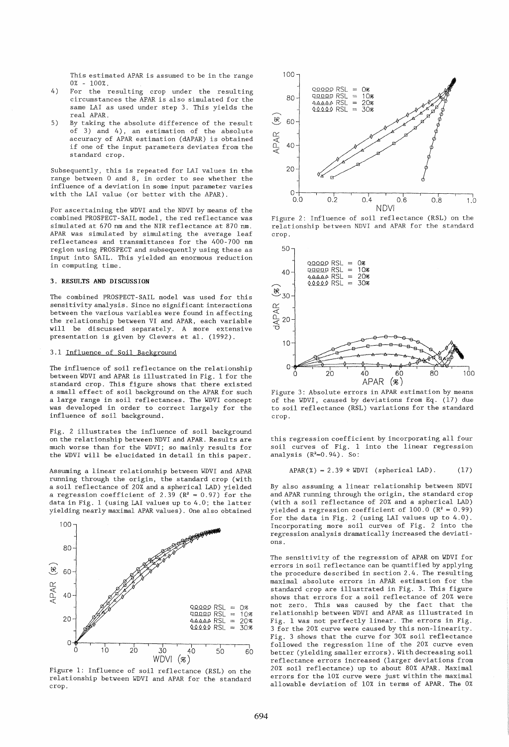This estimated APAR is assumed to be in the range 0% - 100%.

- 4) For the resulting crop under the resulting circumstances the APAR is also simulated for the same LAI as used under step 3. This yields the real APAR.
- 5) By taking the absolute difference of the result of 3) and 4), an estimation of the absolute accuracy of APAR estimation (dAPAR) is obtained if one of the input parameters deviates from the standard crop.

Subsequently, this is repeated for LAI values in the range between 0 and 8, in order to see whether the influence of a deviation in some input parameter varies with the LAI value (or better with the APAR).

For ascertaining the WDVI and the NDVI by means of the combined PROSPECT- SAIL model, the red reflectance was simulated at 670 nm and the NIR reflectance at 870 nm. APAR was simulated by simulating the average leaf reflectances and transmittances for the 400-700 nm region using PROSPECT and subsequently using these as input into SAIL. This yielded an enormous reduction in computing time.

#### **3. RESULTS AND DISCUSSION**

The combined PROSPECT-SAIL model was used for this sensitivity analysis. Since no significant interactions between the various variables were found in affecting the relationship between VI and APAR, each variable will be discussed separately. A more extensive presentation is given by Clevers et al. (1992).

## 3.1 Influence of Soil Background

The influence of soil reflectance on the relationship between WDVI and APAR is illustrated in Fig. 1 for the standard crop. This figure shows that there existed a small effect of soil background on the APAR for such a large range in soil reflectances. The WDVI concept was developed in order to correct largely for the influence of soil background.

Fig. 2 illustrates the influence of soil background on the relationship between NDVI and APAR. Results are much worse than for the WDVI; so mainly results for the WDVI will be elucidated in detail in this paper.

Assuming a linear relationship between WDVI and APAR running through the origin, the standard crop (with a soil reflectance of 20% and a spherical LAD) yielded a regression coefficient of 2.39 ( $\mathbb{R}^2 = 0.97$ ) for the data in Fig. 1 (using LAI values up to 4.0; the latter yielding nearly maximal APAR values). One also obtained



Figure 1: Influence of soil reflectance (RSL) on the relationship between WDVI and APAR for the standard crop.



Figure 2: Influence of soil reflectance (RSL) on the relationship between NDVI and APAR for the standard crop.



Figure 3: Absolute errors in APAR estimation by means of the WDVI, caused by deviations from Eq. (17) due to soil reflectance (RSL) variations for the standard crop.

this regression coefficient by incorporating all four soil curves of Fig. 1 into the linear regression  $analysis (R<sup>2</sup>=0.94)$ . So:

$$
APAR(*) = 2.39 * WDUI (spherical LAD).
$$
 (17)

By also assuming a linear relationship between NDVI and APAR running through the origin, the standard crop (with a soil reflectance of 20% and a spherical LAD) yielded a regression coefficient of  $100.0$  ( $R^2 = 0.99$ ) for the data in Fig. 2 (using LAI values up to  $4.0$ ). Incorporating more soil curves of Fig. 2 into the regression analysis dramatically increased the deviations.

The sensitivity of the regression of APAR on WDVI for errors in soil reflectance can be quantified by applying the procedure described in section 2.4. The resulting maximal absolute errors in APAR estimation for the standard crop are illustrated in Fig. 3. This figure shows that errors for a soil reflectance of 20% were not zero. This was caused by the fact that the relationship between WDVI and APAR as illustrated in Fig. 1 was not perfectly linear. The errors in Fig. 3 for the 20% curve were caused by this non-linearity. Fig. 3 shows that the curve for 30% soil reflectance followed the regression line of the 20% curve even better (yielding smaller errors). With decreasing soil reflectance errors increased (larger deviations from 20% soil reflectance) up to about 80% APAR. Maximal errors for the 10% curve were just within the maximal allowable deviation of 10% in terms of APAR. The 0%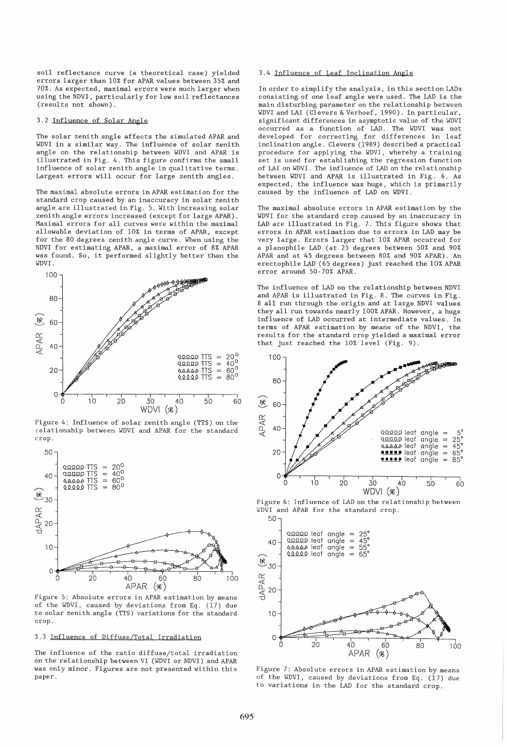soil reflectance curve (a theoretical case) yielded errors larger than 10% for APAR values between 35% and 70%. As expected, maximal errors were much larger when using the NDVI, particularly for low soil reflectances (results not shown).

## 3.2 Influence of Solar Angle

The solar zenith angle affects the simulated APAR and WDVI in a similar way. The influence of solar zenith angle on the relationship between WDVI and APAR is illustrated in Fig. 4. This figure confirms the small influence of solar zenith angle in qualitative terms. Largest errors will occur for large zenith angles.

The maximal absolute errors in APAR estimation for the standard crop caused by an inaccuracy in solar zenith angle are illustrated in Fig. 5. With increasing solar zenith angle errors increased (except for large APAR). Maximal errors for all curves were within the maximal allowable deviation of 10% in terms of APAR, except for the 80 degrees zenith angle curve. When using the NDVI for estimating APAR, a maximal error of 8% APAR was found. So, it performed slightly better than the WDVI.



Figure 4: Influence of solar zenith angle (TTS) on the relationship between WDVI and APAR for the standard crop.



Figure 5: Absolute errors in APAR estimation by means of the WDVI, caused by deviations from Eq. (17) due to solar zenith angle (TTS) variations for the standard crop.

# 3.3 Influence of Diffuse/Total Irradiation

The influence of the ratio diffuse/total irradiation on the relationship between VI (WDVI or NDVI) and APAR was only minor. Figures are not presented within this paper.

# 3.4 Influence of Leaf Inclination Angle

In order to simplify the analysis, in this section LADs consisting of one leaf angle were used. The LAD is the main disturbing parameter on the relationship between WDVI and LAI (Clevers & Verhoef, 1990). In particular, significant differences in asymptotic value of the WDVI occurred as a function of LAD. The WDVI was not developed for correcting for differences in leaf inclination angle. Clevers (1989) described a practical procedure for applying the WDVI, whereby a training set is used for establishing the regression function of LAI on WDVI. The influence of LAD on the relationship between WDVI and APAR is illustrated in Fig. 6. As expected, the influence was huge, which is primarily caused by the influence of LAD on WDVI.

The maximal absolute errors in APAR estimation by the WDVI for the standard crop caused by an inaccuracy in LAD are illustrated in Fig. 7. This figure shows that errors in APAR estimation due to errors in LAD may be very large. Errors larger that 10% APAR occurred for a planophile LAD (at 25 degrees between 50% and 90% APAR and at 45 degrees between 80% and 90% APAR). An erectophile LAD (65 degrees) just reached the 10% APAR error around 50-70% APAR.

The influence of LAD on the relationship between NDVI and APAR is illustrated in Fig. 8. The curves in Fig. 8 all run through the origin and at large NDVI values they all run towards nearly 100% APAR. However, a huge influence of LAD occurred at intermediate values. In terms of APAR estimation by means of the NDVI, the results for the standard crop yielded a maximal error that just reached the 10% level (Fig. 9).



Figure 6: Influence of LAD on the relationship between WDVI and APAR for the standard crop.



Figure 7: Absolute errors in APAR estimation by means of the WDVI, caused by deviations from Eq. (17) due to variations in the LAD for the standard crop.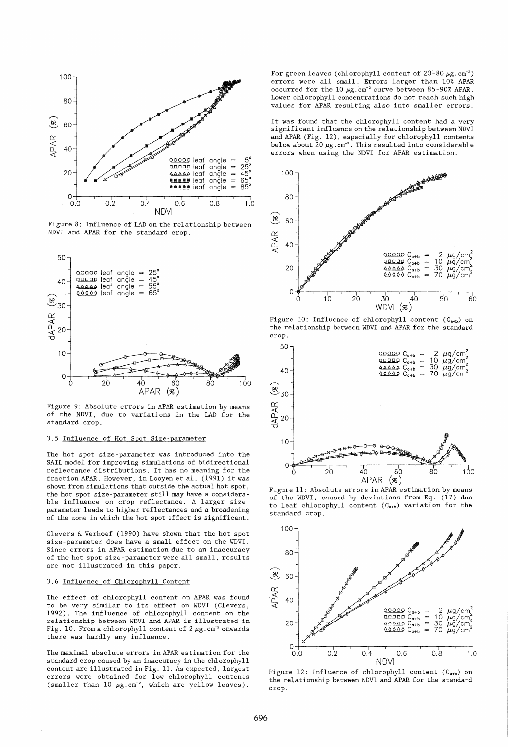

Figure 8: Influence of LAD on the relationship between NDVI and APAR for the standard crop.



Figure 9: Absolute errors in APAR estimation by means of the NDVI, due to variations in the LAD for the standard crop.

# 3.5 Influence of Hot Spot Size-parameter

The hot spot size-parameter was introduced into the SAIL model for improving simulations of bidirectional reflectance distributions. It has no meaning for the fraction APAR. However, in Looyen et al. (1991) it was shown from simulations that outside the actual hot spot, the hot spot size-parameter still may have a considerable influence on crop reflectance. A larger sizeparameter leads to higher reflectances and a broadening of the zone in which the hot spot effect is significant.

Clevers & Verhoef (1990) have shown that the hot spot size-parameter does have a small effect on the WDVI. Since errors in APAR estimation due to an inaccuracy of the hot spot size-parameter were all small, results are not illustrated in this paper.

# 3.6 Influence of Chlorophyll Content

The effect of chlorophyll content on APAR was found to be very similar to its effect on WDVI (Clevers, 1992). The influence of chlorophyll content on the relationship between WDVI and APAR is illustrated in Fig. 10. From a chlorophyll content of 2  $\mu$ g. cm<sup>-2</sup> onwards there was hardly any influence.

The maximal absolute errors in APAR estimation for the standard crop caused by an inaccuracy in the chlorophyll content are illustrated in Fig. 11. As expected, largest errors were obtained for low chlorophyll contents (smaller than  $10 \mu g.cm^{-2}$ , which are yellow leaves).

For green leaves (chlorophyll content of  $20-80 \mu g.cm^{-2}$ ) errors were all small. Errors larger than 10% APAR occurred for the  $10 \mu g.cm^{-2}$  curve between 85-90% APAR. Lower chlorophyll concentrations do not reach such high values for APAR resulting also into smaller errors.

It was found that the chlorophyll content had a very significant influence on the relationship between NDVI and APAR (Fig. 12), especially for chlorophyll contents below about  $20 \mu g$ .  $cm^{-2}$ . This resulted into considerable errors when using the NDVI for APAR estimation.



Figure 10: Influence of chlorophyll content  $(C_{a+b})$  on the relationship between WDVI and APAR for the standard crop.



Figure 11: Absolute errors in APAR estimation by means of the WDVI, caused by deviations from Eq. (17) due to leaf chlorophyll content  $(C_{a+b})$  variation for the standard crop.



Figure 12: Influence of chlorophyll content  $(C_{a+b})$  on the relationship between NDVI and APAR for the standard crop.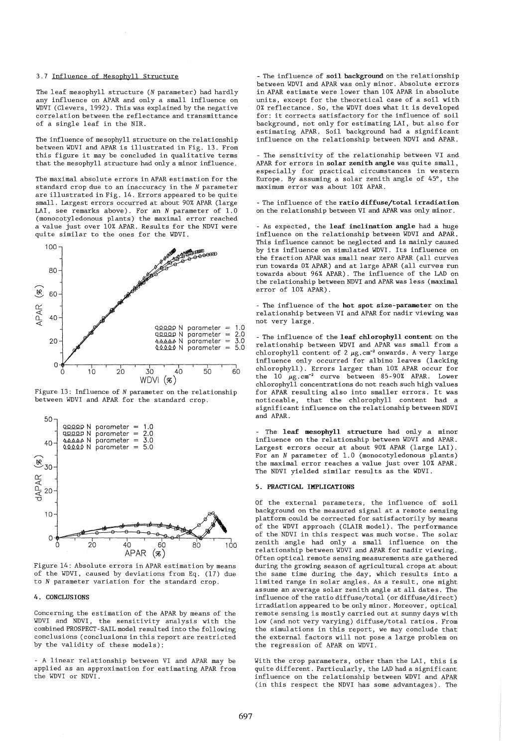## 3.7 Influence of Mesophy11 Structure

The leaf mesophy11 structure *(N* parameter) had hardly any influence on APAR and only a small influence on WDVI (C1evers, 1992). This was explained by the negative correlation between the reflectance and transmittance of a single leaf in the NIR.

The influence of mesophy11 structure on the relationship between WDVI and APAR is illustrated in Fig. 13. From this figure it may be concluded in qualitative terms that the mesophyl1 structure had only a minor influence.

The maximal absolute errors in APAR estimation for the standard crop due to an inaccuracy in the *N* parameter are illustrated in Fig. 14. Errors appeared to be quite small. Largest errors occurred at about 90% APAR (large LAI, see remarks above). For an *N* parameter of 1.0 (monocotyledonous plants) the maximal error reached a value just over 10% APAR. Results for the NDVI were quite similar to the ones for the WDVI.



Figure 13: Influence of *N* parameter on the relationship between WDVI and APAR for the standard crop.



Figure 14: Absolute errors in APAR estimation by means of the WDVI, caused by deviations from Eq. (17) due to *N* parameter variation for the standard crop.

## 4. CONCLUS IONS

Concerning the estimation of the APAR by means of the WDVI and NDVI, the sensitivity analysis with the combined PROSPECT-SAIL model resulted into the following conclusions (conclusions in this report are restricted by the validity of these models):

- A linear relationship between VI and APAR may be applied as an approximation for estimating APAR from the WDVI or NDVI.

- The influence of soil background on the relationship between WDVI and APAR was only minor. Absolute errors in APAR estimate were lower than 10% APAR in absolute units, except for the theoretical case of a soil with 0% reflectance. So, the WDVI does what it is developed for: it corrects satisfactory for the influence of soil background, not only for estimating LAI, but also for estimating APAR. Soil background had a significant influence on the relationship between NDVI and APAR.

- The sensitivity of the relationship between VI and APAR for errors in solar zenith angle was quite small, especially for practical circumstances in western Europe. By assuming a solar zenith angle of 45°, the maximum error was about 10% APAR.

- The influence of the ratio diffuse/total irradiation on the relationship between VI and APAR was only minor.

- As expected, the leaf inclination angle had a huge influence on the relationship between WDVI and APAR. This influence cannot be neglected and is mainly caused by its influence on simulated WDVI. Its influence on the fraction APAR was small near zero APAR (all curves run towards 0% APAR) and at large APAR (all curves run towards about 96% APAR). The influence of the LAD on the relationship between NDVI and APAR was less (maximal error of 10% APAR).

- The influence of the hot spot size-parameter on the relationship between VI and APAR for nadir viewing was not very large.

- The influence of the leaf chlorophyll content on the relationship between WDVI and APAR was small from a chlorophyll content of  $2 \mu g.cm^{-2}$  onwards. A very large influence only occurred for albino leaves (lacking chlorophyll). Errors larger than 10% APAR occur for the  $10 \mu g.cm^{-2}$  curve between 85-90% APAR. Lower chlorophyll concentrations do not reach such high values for APAR resulting also into smaller errors. It was noticeable, that the chlorophyll content had a significant influence on the relationship between NDVI and APAR.

The leaf mesophyll structure had only a minor influence on the relationship between WDVI and APAR. Largest errors occur at about 90% APAR (large LAI). For an *N* parameter of 1.0 (monocotyledonous plants) the maximal error reaches a value just over 10% APAR. The NDVI yielded similar results as the WDVI.

#### 5. PRACTICAL IMPLICATIONS

Of the external parameters, the influence of soil background on the measured signal at a remote sensing platform could be corrected for satisfactorily by means of the WDVI approach (CLAIR model). The performance of the NDVI in this respect was much worse. The solar zenith angle had only a small influence on the relationship between WDVI and APAR for nadir viewing. Often optical remote sensing measurements are gathered during the growing season of agricultural crops at about the same time during the day, which results into a limited range in solar angles. As a result, one might assume an average solar zenith angle at all dates. The influence of the ratio diffuse/total (or diffuse/direct) irradiation appeared to be only minor. Moreover, optical remote sensing is mostly carried out at sunny days with low (and not very varying) diffuse/total ratios. From the simulations in this report, we may conclude that the external factors will not pose a large problem on the regression of APAR on WDVI.

With the crop parameters, other than the LAI, this is qui te different. Particularly, the LAD had a significant influence on the relationship between WDVI and APAR (in this respect the NDVI has some advantages). The